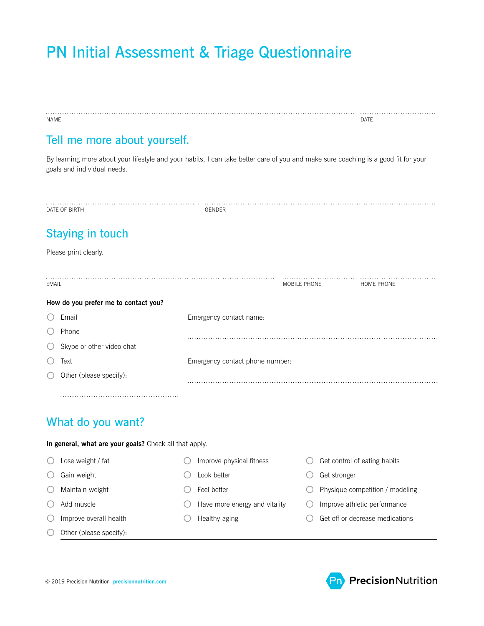# PN Initial Assessment & Triage Questionnaire

| NAME                                                                                                                                                              |                                         | DATE                            |  |  |  |  |  |  |  |  |
|-------------------------------------------------------------------------------------------------------------------------------------------------------------------|-----------------------------------------|---------------------------------|--|--|--|--|--|--|--|--|
| Tell me more about yourself.                                                                                                                                      |                                         |                                 |  |  |  |  |  |  |  |  |
| By learning more about your lifestyle and your habits, I can take better care of you and make sure coaching is a good fit for your<br>goals and individual needs. |                                         |                                 |  |  |  |  |  |  |  |  |
| DATE OF BIRTH                                                                                                                                                     | GENDER                                  |                                 |  |  |  |  |  |  |  |  |
| <b>Staying in touch</b>                                                                                                                                           |                                         |                                 |  |  |  |  |  |  |  |  |
| Please print clearly.                                                                                                                                             |                                         |                                 |  |  |  |  |  |  |  |  |
| <b>EMAIL</b>                                                                                                                                                      | MOBILE PHONE                            | HOME PHONE                      |  |  |  |  |  |  |  |  |
| How do you prefer me to contact you?                                                                                                                              |                                         |                                 |  |  |  |  |  |  |  |  |
| Email                                                                                                                                                             | Emergency contact name:                 |                                 |  |  |  |  |  |  |  |  |
| Phone                                                                                                                                                             |                                         |                                 |  |  |  |  |  |  |  |  |
| Skype or other video chat                                                                                                                                         |                                         |                                 |  |  |  |  |  |  |  |  |
| Text                                                                                                                                                              | Emergency contact phone number:         |                                 |  |  |  |  |  |  |  |  |
| Other (please specify):                                                                                                                                           |                                         |                                 |  |  |  |  |  |  |  |  |
|                                                                                                                                                                   |                                         |                                 |  |  |  |  |  |  |  |  |
| What do you want?                                                                                                                                                 |                                         |                                 |  |  |  |  |  |  |  |  |
| In general, what are your goals? Check all that apply.                                                                                                            |                                         |                                 |  |  |  |  |  |  |  |  |
| Lose weight / fat                                                                                                                                                 | Improve physical fitness                | Get control of eating habits    |  |  |  |  |  |  |  |  |
| Gain weight                                                                                                                                                       | Look better                             | Get stronger                    |  |  |  |  |  |  |  |  |
| Maintain weight<br>0                                                                                                                                              | Feel better                             | Physique competition / modeling |  |  |  |  |  |  |  |  |
| Add muscle<br>O                                                                                                                                                   | Have more energy and vitality           | Improve athletic performance    |  |  |  |  |  |  |  |  |
| Improve overall health<br>( )                                                                                                                                     | Healthy aging<br>$\left( \quad \right)$ | Get off or decrease medications |  |  |  |  |  |  |  |  |
| Other (please specify):                                                                                                                                           |                                         |                                 |  |  |  |  |  |  |  |  |

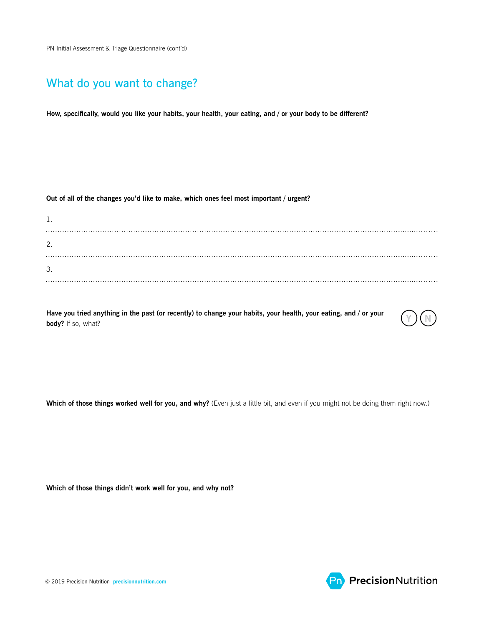## What do you want to change?

**How, specifically, would you like your habits, your health, your eating, and / or your body to be different?**

**Out of all of the changes you'd like to make, which ones feel most important / urgent?**

| <b>1.</b> |  |  |  |  |  |
|-----------|--|--|--|--|--|
| 2.        |  |  |  |  |  |
| 3.        |  |  |  |  |  |
|           |  |  |  |  |  |

**Have you tried anything in the past (or recently) to change your habits, your health, your eating, and / or your**  $\bigcirc$  $\bigcirc$  $\bigcirc$  $\bigcirc$ 



Which of those things worked well for you, and why? (Even just a little bit, and even if you might not be doing them right now.)

**Which of those things didn't work well for you, and why not?**

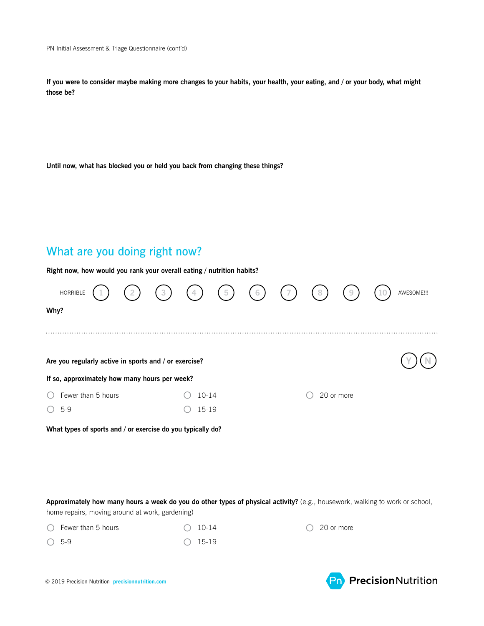**If you were to consider maybe making more changes to your habits, your health, your eating, and / or your body, what might those be?**

**Until now, what has blocked you or held you back from changing these things?**

# What are you doing right now?

**Right now, how would you rank your overall eating / nutrition habits?**

| HORRIBLE                                                    |  | $\left(3\right)$ | (4)   | (5) | (6) | (7) | $\left( 8\right)$ | 9          |  | AWESOME !!! |
|-------------------------------------------------------------|--|------------------|-------|-----|-----|-----|-------------------|------------|--|-------------|
| Why?                                                        |  |                  |       |     |     |     |                   |            |  |             |
|                                                             |  |                  |       |     |     |     |                   |            |  |             |
| Are you regularly active in sports and / or exercise?       |  |                  |       |     |     |     |                   |            |  |             |
| If so, approximately how many hours per week?               |  |                  |       |     |     |     |                   |            |  |             |
| Fewer than 5 hours                                          |  |                  | 10-14 |     |     |     |                   | 20 or more |  |             |
| $5-9$                                                       |  |                  | 15-19 |     |     |     |                   |            |  |             |
| What types of sports and / or exercise do you typically do? |  |                  |       |     |     |     |                   |            |  |             |

**Approximately how many hours a week do you do other types of physical activity?** (e.g., housework, walking to work or school, home repairs, moving around at work, gardening)

| $\bigcirc$ Fewer than 5 hours | $\bigcirc$ 10-14 |
|-------------------------------|------------------|
| $\bigcirc$ 5-9                | $\bigcirc$ 15-19 |

 $\bigcirc$  20 or more



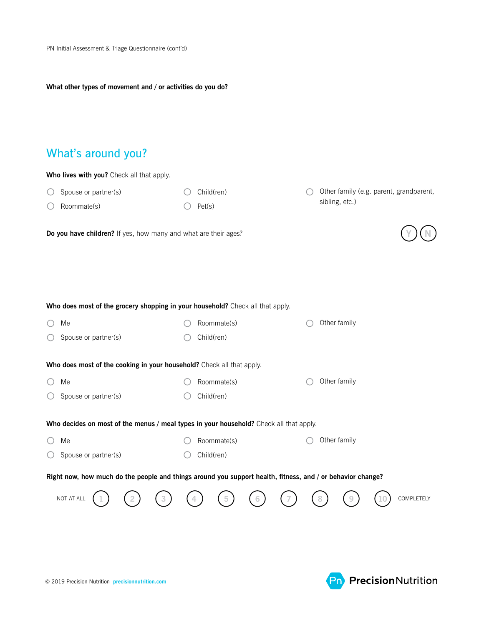#### **What other types of movement and / or activities do you do?**

# What's around you?

| Who lives with you? Check all that apply.                                                                  |             |                                         |  |  |  |  |  |  |  |  |
|------------------------------------------------------------------------------------------------------------|-------------|-----------------------------------------|--|--|--|--|--|--|--|--|
| Spouse or partner(s)                                                                                       | Child(ren)  | Other family (e.g. parent, grandparent, |  |  |  |  |  |  |  |  |
| Roommate(s)                                                                                                | Pet(s)      | sibling, etc.)                          |  |  |  |  |  |  |  |  |
| Do you have children? If yes, how many and what are their ages?                                            |             |                                         |  |  |  |  |  |  |  |  |
|                                                                                                            |             |                                         |  |  |  |  |  |  |  |  |
| Who does most of the grocery shopping in your household? Check all that apply.                             |             |                                         |  |  |  |  |  |  |  |  |
| Me                                                                                                         | Roommate(s) | Other family                            |  |  |  |  |  |  |  |  |
| Spouse or partner(s)                                                                                       | Child(ren)  |                                         |  |  |  |  |  |  |  |  |
| Who does most of the cooking in your household? Check all that apply.                                      |             |                                         |  |  |  |  |  |  |  |  |
| Me                                                                                                         | Roommate(s) | Other family                            |  |  |  |  |  |  |  |  |
| Spouse or partner(s)                                                                                       | Child(ren)  |                                         |  |  |  |  |  |  |  |  |
| Who decides on most of the menus / meal types in your household? Check all that apply.                     |             |                                         |  |  |  |  |  |  |  |  |
| Me                                                                                                         | Roommate(s) | Other family                            |  |  |  |  |  |  |  |  |
| Spouse or partner(s)                                                                                       | Child(ren)  |                                         |  |  |  |  |  |  |  |  |
| Right now, how much do the people and things around you support health, fitness, and / or behavior change? |             |                                         |  |  |  |  |  |  |  |  |
| NOT AT ALL                                                                                                 |             | COMPLETELY                              |  |  |  |  |  |  |  |  |
|                                                                                                            |             |                                         |  |  |  |  |  |  |  |  |

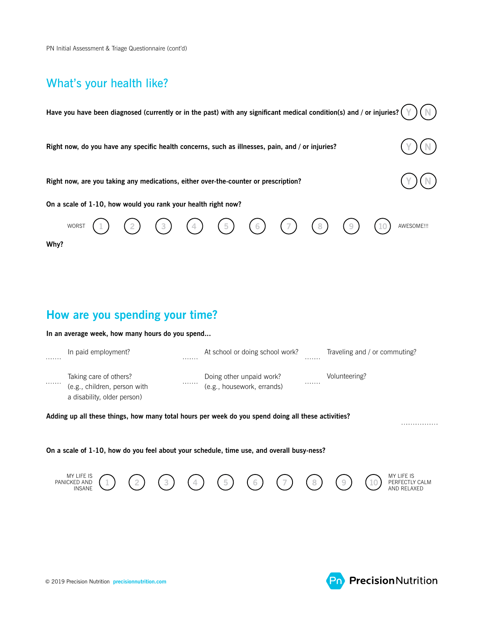PN Initial Assessment & Triage Questionnaire (cont'd)

# What's your health like?

|      | Have you have been diagnosed (currently or in the past) with any significant medical condition(s) and / or injuries? |   |                                                        |            |  |                               |             |
|------|----------------------------------------------------------------------------------------------------------------------|---|--------------------------------------------------------|------------|--|-------------------------------|-------------|
|      | Right now, do you have any specific health concerns, such as illnesses, pain, and / or injuries?                     |   |                                                        |            |  |                               |             |
|      | Right now, are you taking any medications, either over-the-counter or prescription?                                  |   |                                                        |            |  |                               |             |
|      | On a scale of 1-10, how would you rank your health right now?                                                        |   |                                                        |            |  |                               |             |
|      | WORST                                                                                                                |   | $\overline{5}$                                         | $\sqrt{6}$ |  |                               | AWESOME !!! |
| Why? |                                                                                                                      |   |                                                        |            |  |                               |             |
|      |                                                                                                                      |   |                                                        |            |  |                               |             |
|      | How are you spending your time?                                                                                      |   |                                                        |            |  |                               |             |
|      | In an average week, how many hours do you spend                                                                      |   |                                                        |            |  |                               |             |
|      | In paid employment?                                                                                                  |   | At school or doing school work?                        |            |  | Traveling and / or commuting? |             |
|      | Taking care of others?<br>(e.g., children, person with<br>a disability, older person)                                | . | Doing other unpaid work?<br>(e.g., housework, errands) |            |  | Volunteering?                 |             |

**Adding up all these things, how many total hours per week do you spend doing all these activities?**

**On a scale of 1-10, how do you feel about your schedule, time use, and overall busy-ness?**



. . . . . . . . . . . . . . .

**Pn** Precision Nutrition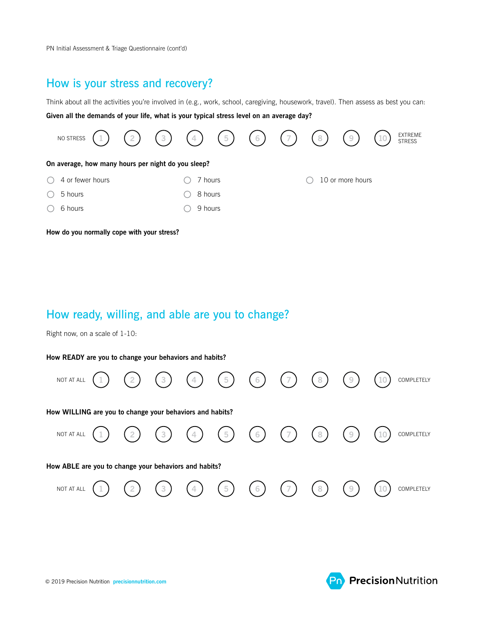PN Initial Assessment & Triage Questionnaire (cont'd)

#### How is your stress and recovery?

Think about all the activities you're involved in (e.g., work, school, caregiving, housework, travel). Then assess as best you can: **Given all the demands of your life, what is your typical stress level on an average day?**



How ready, willing, and able are you to change?

Right now, on a scale of 1-10:

#### **How READY are you to change your behaviors and habits?**